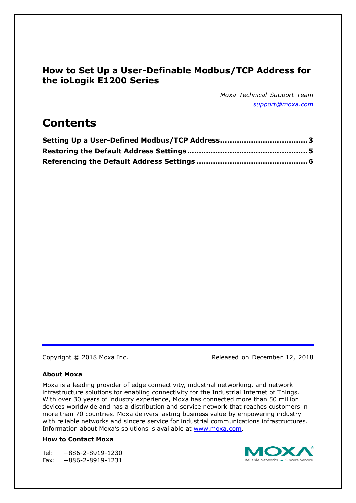## **How to Set Up a User-Definable Modbus/TCP Address for the ioLogik E1200 Series**

*Moxa Technical Support Team [support@moxa.com](mailto:support@moxa.com)*

# **Contents**

Copyright © 2018 Moxa Inc. The Released on December 12, 2018

#### **About Moxa**

Moxa is a leading provider of edge connectivity, industrial networking, and network infrastructure solutions for enabling connectivity for the Industrial Internet of Things. With over 30 years of industry experience, Moxa has connected more than 50 million devices worldwide and has a distribution and service network that reaches customers in more than 70 countries. Moxa delivers lasting business value by empowering industry with reliable networks and sincere service for industrial communications infrastructures. Information about Moxa's solutions is available at [www.moxa.com.](http://www.moxa.com/)

#### **How to Contact Moxa**

Tel: +886-2-8919-1230 Fax: +886-2-8919-1231

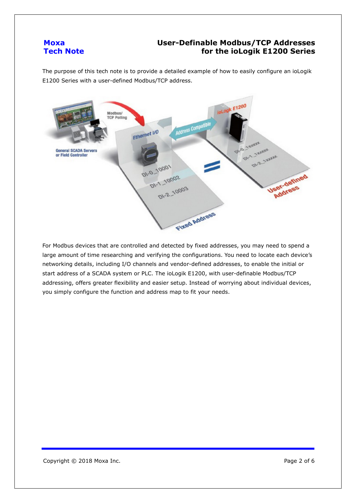#### **User-Definable Modbus/TCP Addresses for the ioLogik E1200 Series**

The purpose of this tech note is to provide a detailed example of how to easily configure an ioLogik E1200 Series with a user-defined Modbus/TCP address.



For Modbus devices that are controlled and detected by fixed addresses, you may need to spend a large amount of time researching and verifying the configurations. You need to locate each device's networking details, including I/O channels and vendor-defined addresses, to enable the initial or start address of a SCADA system or PLC. The ioLogik E1200, with user-definable Modbus/TCP addressing, offers greater flexibility and easier setup. Instead of worrying about individual devices, you simply configure the function and address map to fit your needs.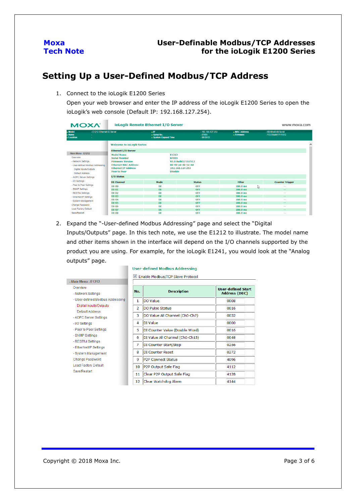#### **User-Definable Modbus/TCP Addresses for the ioLogik E1200 Series**

## <span id="page-2-0"></span>**Setting Up a User-Defined Modbus/TCP Address**

1. Connect to the ioLogik E1200 Series

Open your web browser and enter the IP address of the ioLogik E1200 Series to open the ioLogik's web console (Default IP: 192.168.127.254).

| <b>MOXA</b>                                                                                                                | <b>ioLogik Remote Ethernet I/O Server</b>                                                                                                                                              |                                                              |                                                            |                                      | www.moxa.com                                 |
|----------------------------------------------------------------------------------------------------------------------------|----------------------------------------------------------------------------------------------------------------------------------------------------------------------------------------|--------------------------------------------------------------|------------------------------------------------------------|--------------------------------------|----------------------------------------------|
| Model<br>- E1212 Ethernet IO Server<br>$\blacksquare$ Name<br>Location                                                     |                                                                                                                                                                                        | $\blacksquare$<br><b>B</b> Serial No.<br>System Elapsed Time | $-192.168.127.253$<br>$-07855$<br>$-00:00:03$              | - MAC Address<br>$=$ Firmware        | $-00-90-68-48-56-4d$<br>- V3.0 Build17111512 |
|                                                                                                                            | <b>Welcome to ioLogik Series</b>                                                                                                                                                       |                                                              |                                                            |                                      | $\lambda$                                    |
| - Main Menu - E1212<br>Overview<br>- Network Settings<br>- User-defined Modbus Addressing<br><b>Digital Inputs/Outputs</b> | <b>Ethernet I/O Server</b><br><b>Model Name</b><br><b>Serial Number</b><br><b>Firmware Version</b><br><b>Ethernet MAC Address</b><br><b>Ethernet IP Address</b><br><b>Peer to Peer</b> | E1212<br>07855<br><b>Disable</b>                             | V3.0 Build17111512<br>00-90-e8-48-5e-4d<br>192.168.127.253 |                                      |                                              |
| Default Address<br>- AOPC Server Settings                                                                                  | I/O Status                                                                                                                                                                             |                                                              |                                                            |                                      |                                              |
| - I/O Settings                                                                                                             | <b>DI Channel</b>                                                                                                                                                                      | Mode                                                         | <b>Status</b>                                              | <b>Filter</b>                        | <b>Counter Trigger</b>                       |
| - Peer to Peer Settings<br>- SNMP Settings<br>- RESTful Settings                                                           | <b>DI-00</b><br><b>DI-01</b><br>$DI-02$                                                                                                                                                | DI<br>DI<br>DI                                               | <b>OFF</b><br><b>OFF</b><br><b>OFF</b>                     | 100.0 ms<br>$100.0$ ms<br>$100.0$ ms | V<br>--<br>$ -$<br>$\sim$                    |
| - EtherNet/IP Settings                                                                                                     | $DI-03$                                                                                                                                                                                | DI                                                           | <b>OFF</b>                                                 | $100.0$ ms                           | $\overline{\phantom{m}}$                     |
| - System Management<br>Change Password                                                                                     | $DI-04$<br><b>DI-05</b><br><b>DI-06</b>                                                                                                                                                | DI<br><b>DI</b><br>DI                                        | <b>OFF</b><br><b>OFF</b><br><b>OFF</b>                     | $100.0$ ms<br>$100.0$ ms<br>100.0 ms | --<br>$\overline{\phantom{m}}$<br>--         |
| <b>Load Factory Default</b>                                                                                                | DI-07                                                                                                                                                                                  | DI                                                           | <b>OFF</b>                                                 | $100.0$ ms                           | $ -$                                         |
| Save/Restart                                                                                                               | <b>DI-08</b>                                                                                                                                                                           | DI                                                           | <b>OFF</b>                                                 | $100.0$ ms                           | $\sim$ $\sim$                                |

2. Expand the "-User-defined Modbus Addressing" page and select the "Digital Inputs/Outputs" page. In this tech note, we use the E1212 to illustrate. The model name and other items shown in the interface will depend on the I/O channels supported by the product you are using. For example, for the ioLogik E1241, you would look at the "Analog outputs" page.

|                                  |                | Enable Modbus/TCP Slave Protocol |                           |
|----------------------------------|----------------|----------------------------------|---------------------------|
| - Main Menu - E1212              |                |                                  |                           |
| Overview                         |                |                                  | <b>User-defined Start</b> |
| - Network Settings               | No.            | <b>Description</b>               | <b>Address (DEC)</b>      |
| - User-defined Modbus Addressing | 1              | DO Value                         | 0008                      |
| Digital Inputs/Outputs           | $\overline{2}$ | DO Pulse Status                  | 0016                      |
| Default Address                  |                |                                  |                           |
| - AOPC Server Settings           | 3              | DO Value All Channel (Ch0-Ch7)   | 0032                      |
| - I/O Settings                   | 4              | DI Value                         | 0000                      |
| - Peer to Peer Settings          | 5              | DI Counter Value (Double Word)   | 0016                      |
| - SNMP Settings                  | 6              | DI Value All Channel (Ch0-Ch15)  | 0048                      |
| - RESTful Settings               | 7              | DI Counter Start/Stop            | 0256                      |
| - EtherNet/IP Settings           |                |                                  |                           |
| - System Management              | 8              | <b>DI Counter Reset</b>          | 0272                      |
| Change Password                  | 9              | <b>P2P Connect Status</b>        | 4096                      |
| <b>Load Factory Default</b>      | 10             | P2P Output Safe Flag             | 4112                      |
| <b>Save/Restart</b>              | 11             | Clear P2P Output Safe Flag       | 4128                      |
|                                  | 12             | Clear Watchdog Alarm             | 4144                      |

#### **User-defined Modbus Addressing**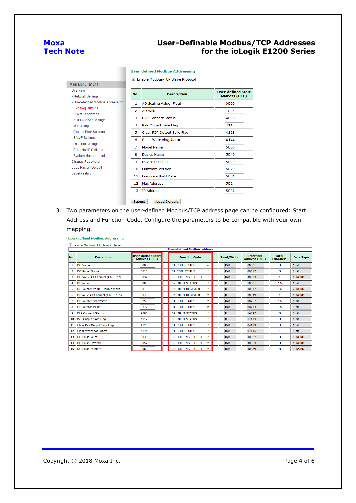#### **User-Definable Modbus/TCP Addresses for the ioLogik E1200 Series**

#### **User-defined Modbus Addressing**

Enable Modbus/TCP Slave Protocol

| - Main Menu - E1241                           |                |                            |                           |
|-----------------------------------------------|----------------|----------------------------|---------------------------|
| Overview                                      | No.            | <b>Description</b>         | <b>User-defined Start</b> |
| - Network Settings                            |                |                            | <b>Address (DEC)</b>      |
| - User-defined Modbus Addressing              | 1              | AO Scaling Value (Float)   | 0000                      |
| Analog Outputs                                | $\overline{2}$ | AO Value                   | 1024                      |
| Default Address                               |                |                            |                           |
| - AOPC Server Settings                        | 3              | <b>IP2P Connect Status</b> | 4096                      |
| - I/O Settings                                | 4              | P2P Output Safe Flag       | 4112                      |
| - Peer to Peer Settings                       | 5              | Clear P2P Output Safe Flag | 4128                      |
| - SNMP Settings                               | 6              | Clear Watchdog Alarm       | 4144                      |
| - RESTful Settings                            | 7              | Model Name                 | 5000                      |
| - EtherNet/IP Settings<br>- System Management | 8              | Device Name                | 5040                      |
| Change Password                               | 9              | Device Up Time             | 5020                      |
| <b>Load Factory Default</b>                   | 10             | <b>Firmware Version</b>    | 5029                      |
| Save/Restart                                  | 11             | Firmware Build Date        | 5031                      |
|                                               | 12             | <b>Mac Address</b>         | 5024                      |
|                                               | 13             | <b>IP Address</b>          | 5027                      |

3. Two parameters on the user-defined Modbus/TCP address page can be configured: Start Address and Function Code. Configure the parameters to be compatible with your own mapping.

**User-defined Modbus Addressing** 

|                 |                                        |                                            | <b>User-defined Modbus address</b> |                   |                                          |                                 |                  |
|-----------------|----------------------------------------|--------------------------------------------|------------------------------------|-------------------|------------------------------------------|---------------------------------|------------------|
| No.             | <b>Description</b>                     | User-defined Start<br><b>Address (DEC)</b> | <b>Function Code</b>               | <b>Read/Write</b> | <b>Reference</b><br><b>Address (DEC)</b> | <b>Total</b><br><b>Channels</b> | <b>Data Type</b> |
| 1               | <b>IDO</b> Value                       | 0000                                       | 01:COU STATUS<br>$\checkmark$      | <b>RW</b>         | 00001                                    | 8                               | 1 bit            |
| 2               | DO Pulse Status                        | 0016                                       | $\checkmark$<br>01:COIL STATUS     | <b>RW</b>         | 00017                                    | 8                               | 1 bit            |
|                 | DO Value All Channel (Ch0-Ch7)         | 0032                                       | 03:HOLDING REGISTER V              | <b>RW</b>         | 40033                                    | 1                               | 1 WORD           |
| 4               | DI Value                               | 0000                                       | ◡<br>02:INPUT STATUS               | $\overline{R}$    | 10001                                    | 16                              | 1 bit            |
|                 | <b>IDI</b> Counter Value (Double Word) | 0016                                       | 04:INPUT REGISTER<br>$\checkmark$  | $\mathsf{R}$      | 30017                                    | 16                              | 2 WORD           |
| 6               | DI Value All Channel (Ch0-Ch15)        | 0048                                       | $\checkmark$<br>04:INPUT REGISTER  | $\mathbb{R}$      | 30049                                    | $\mathbf{1}$                    | 1 WORD           |
|                 | DI Counter Start/Stop                  | 0256                                       | ◡<br>01:COIL STATUS                | <b>RW</b>         | 00257                                    | 16                              | 1 bit            |
|                 | <b>DI Counter Reset</b>                | 0272                                       | 01:COIL STATUS<br>$\checkmark$     | <b>RW</b>         | 00273                                    | 16                              | 1 bit            |
| 9               | <b>P2P Connect Status</b>              | 4096                                       | $\checkmark$<br>02: INPUT STATUS   | $\overline{R}$    | 14097                                    | 8                               | 1 bit            |
| 10 <sup>°</sup> | P2P Output Safe Flag                   | 4112                                       | 02: INPUT STATUS<br>$\checkmark$   | $\mathbb{R}$      | 14113                                    | 8                               | 1 bit            |
| 11              | Clear P2P Output Safe Flag             | 4128                                       | $\checkmark$<br>01:COIL STATUS     | <b>RW</b>         | 04129                                    | 8                               | 1 bit            |
| 12 <sub>1</sub> | Clear Watchdog Alarm                   | 4144                                       | 01:COIL STATUS<br>$\checkmark$     | <b>RW</b>         | 04145                                    | 1                               | 1 bit            |
|                 | 13 <b>IDO</b> PulseCount               | 0036                                       | 03:HOLDING REGISTER V              | <b>RW</b>         | 40037                                    | 8                               | 1 WORD           |
| 14              | DO PulseOnWidth                        | 0052                                       | 03:HOLDING REGISTER V              | <b>RW</b>         | 40053                                    | 8                               | 1 WORD           |
| 15              | <b>DO PulseOffWidth</b>                | 0068                                       | 03:HOLDING REGISTER V              | <b>RW</b>         | 40069                                    | 8                               | 1 WORD           |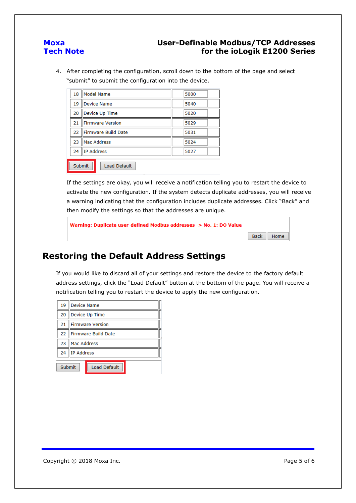### **User-Definable Modbus/TCP Addresses for the ioLogik E1200 Series**

4. After completing the configuration, scroll down to the bottom of the page and select "submit" to submit the configuration into the device.

| 18     | Model Name              | 5000 |  |
|--------|-------------------------|------|--|
| 19     | <b>Device Name</b>      | 5040 |  |
| 20     | Device Up Time          | 5020 |  |
| 21     | <b>Firmware Version</b> | 5029 |  |
| 22     | Firmware Build Date     | 5031 |  |
| 23     | Mac Address             | 5024 |  |
| 24     | IP Address              | 5027 |  |
| Submit | Load Default            |      |  |
|        |                         |      |  |

If the settings are okay, you will receive a notification telling you to restart the device to activate the new configuration. If the system detects duplicate addresses, you will receive a warning indicating that the configuration includes duplicate addresses. Click "Back" and then modify the settings so that the addresses are unique.

| Warning: Duplicate user-defined Modbus addresses -> No. 1: DO Value |             |
|---------------------------------------------------------------------|-------------|
|                                                                     | Back   Home |

## <span id="page-4-0"></span>**Restoring the Default Address Settings**

If you would like to discard all of your settings and restore the device to the factory default address settings, click the "Load Default" button at the bottom of the page. You will receive a notification telling you to restart the device to apply the new configuration.

| 19     | Device Name             |                     |  |  |  |  |  |
|--------|-------------------------|---------------------|--|--|--|--|--|
| 20     |                         | Device Up Time      |  |  |  |  |  |
| 21     |                         | Firmware Version    |  |  |  |  |  |
|        | 22 IFirmware Build Date |                     |  |  |  |  |  |
| 23     | Mac Address             |                     |  |  |  |  |  |
| 24     | IP Address              |                     |  |  |  |  |  |
|        |                         |                     |  |  |  |  |  |
| Submit |                         | <b>Load Default</b> |  |  |  |  |  |